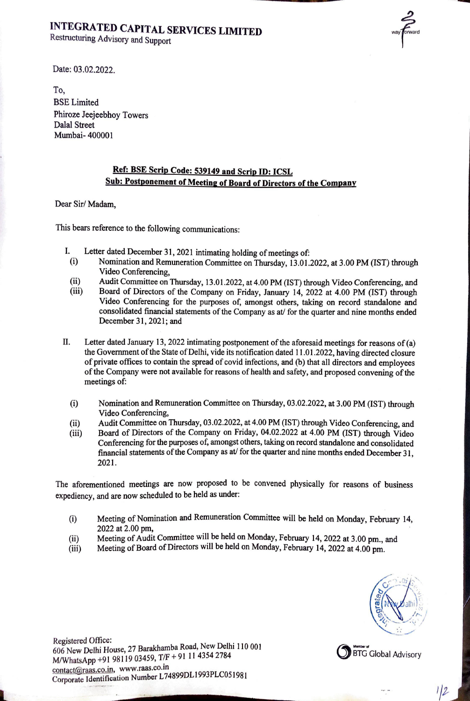## INTEGRATED CAPITAL SERVICES LIMITED<br>Restructuring Advisory and Support



Date: 03.02.2022.

To, BSE Limited Phiroze Jeejeebhoy Towers Dalal Street Mumbai- 400001

## Ref: BSE Scrip Code: 539149 and Scrip ID: ICSL Sub: Postponement of Meeting of Board of Directors of the Company

Dear Sir/ Madam,

This bears reference to the following communications:

- I. Letter dated December 31, 2021 intimating holding of meetings of:
	- (i) Nomination and Remuneration Committee on Thursday, 13.01.2022, at 3.00 PM (IST) through Video Conferencing,
	- (ii) Audit Committee on Thursday, 13.01.2022, at 4.00 PM (IST) through Video Conferencing, and
	- (iii) Board of Directors of the Company on Friday, January 14, 2022 at 4.00 PM (IST) through Video Conferencing for the purposes of, amongst others, taking on record standalone and consolidated financial statements of the Company as at/ for the quarter and nine months ended December 31, 2021; and
- Il. Letter dated January 13, 2022 intimating postponement of the aforesaid meetings for reasons of (a) the Government of the State of Delhi, vide its notification dated 11.01.2022, having directed closure of private offices to contain the spread of covid infections, and (b) that all directors and employees of the Company were not available for reasons of health and safety, and proposed convening of the meetings of:
	- (i) Nomination and Remuneration Committee on Thursday, 03.02.2022, at 3.00 PM (IST) through Video Conferencing,
	- (ii) Audit Committee on Thursday, 03.02.2022, at 4.00 PM (IST) through Video Conferencing, and
	- (iii) Board of Directors of the Company on Friday, 04.02.2022 at 4.00 PM (IST) through Video Conferencing for the purposes of, amongst others, taking on record standalone and consolidated financial statements of the Company as at/ for the quarter and nine months ended December 31, 2021.

The aforementioned meetings are now proposed to be convened physically for reasons of business expediency, and are now scheduled to be held as under:

- (i) Meeting of Nomination and Remuneration Committee will be held on Monday, February 14, 2022 at 2.00 pm, .
- (ii) Meeting of Audit Committee will be held on Monday, February 14, 2022 at 3.00 pm., and
- (iii) Meeting of Board of Directors will be held on Monday, February 14, 2022 at 4.00 pm.

——— /



 $1/2$ 

 $\frac{1}{2}$ Registered Office:<br>606 New Delhi House, 27 Barakhamba Road, New Delhi 110 001<br>M/WhatsApp +91 98119 03459, T/F + 91 11 4354 2784<br>contact@raas.co.in, www.raas.co.in Corporate Identification Number L74899DL1993PLC051981